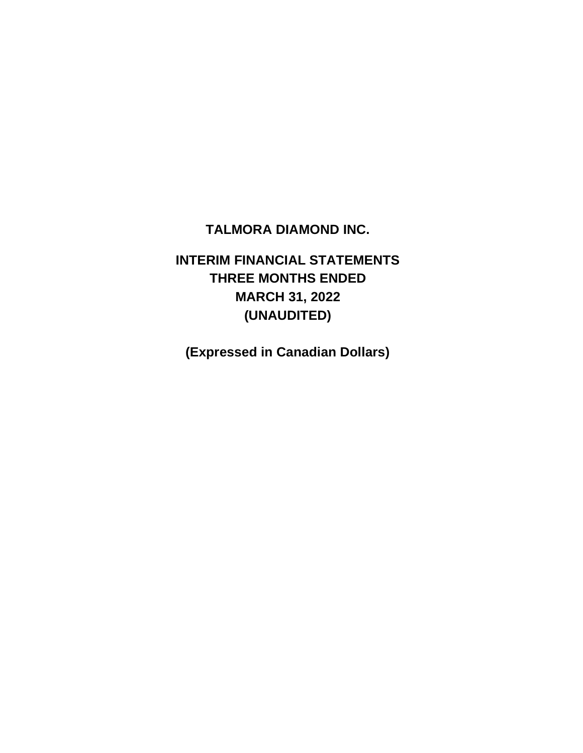# **TALMORA DIAMOND INC.**

# **INTERIM FINANCIAL STATEMENTS THREE MONTHS ENDED MARCH 31, 2022 (UNAUDITED)**

**(Expressed in Canadian Dollars)**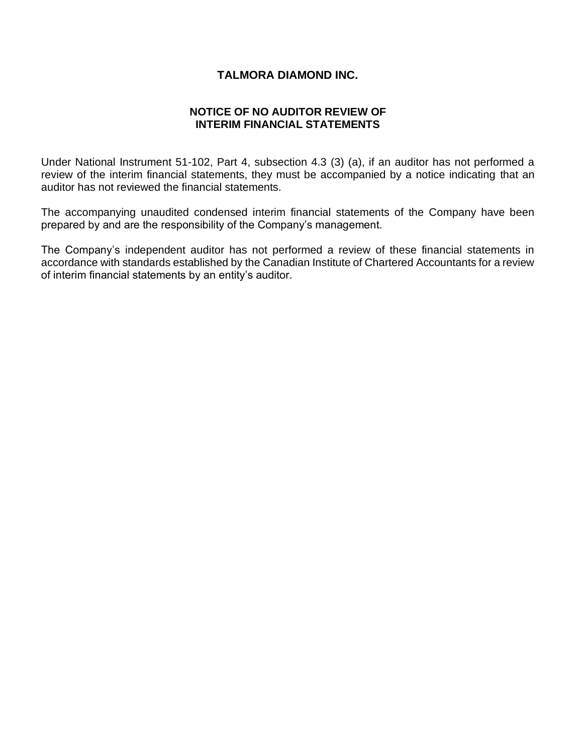# **TALMORA DIAMOND INC.**

# **NOTICE OF NO AUDITOR REVIEW OF INTERIM FINANCIAL STATEMENTS**

Under National Instrument 51-102, Part 4, subsection 4.3 (3) (a), if an auditor has not performed a review of the interim financial statements, they must be accompanied by a notice indicating that an auditor has not reviewed the financial statements.

The accompanying unaudited condensed interim financial statements of the Company have been prepared by and are the responsibility of the Company's management.

The Company's independent auditor has not performed a review of these financial statements in accordance with standards established by the Canadian Institute of Chartered Accountants for a review of interim financial statements by an entity's auditor.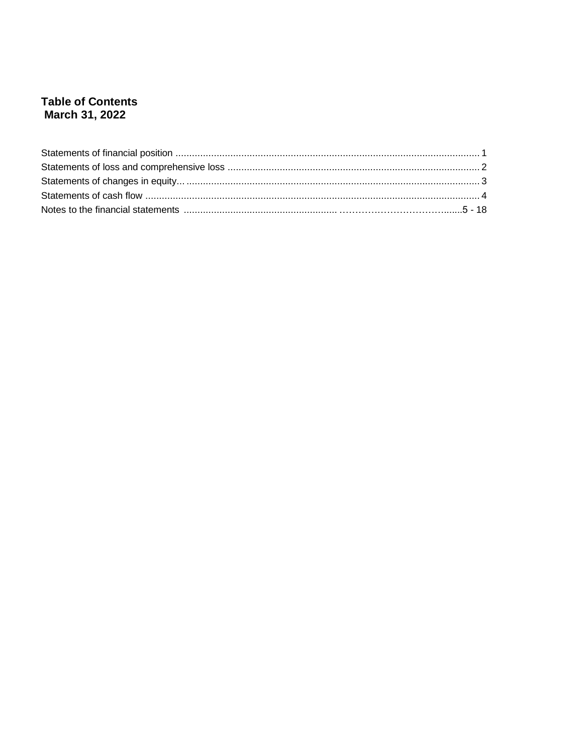# **Table of Contents** March 31, 2022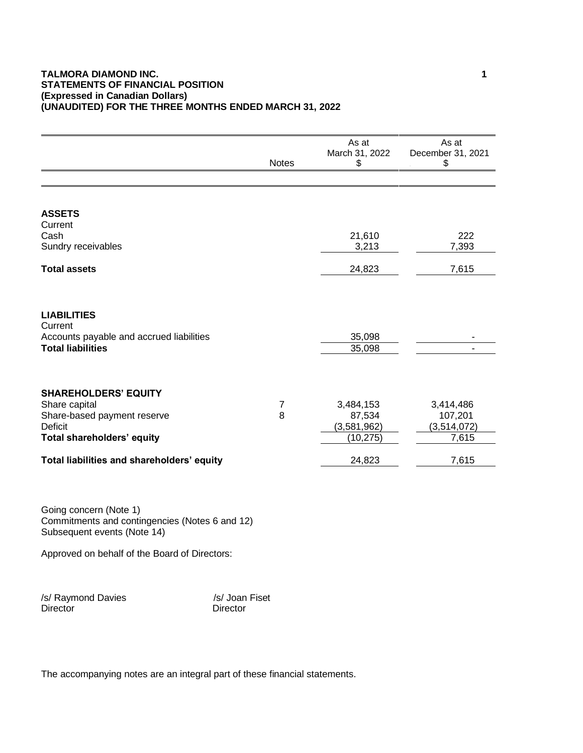## **TALMORA DIAMOND INC.** 1 **STATEMENTS OF FINANCIAL POSITION (Expressed in Canadian Dollars) (UNAUDITED) FOR THE THREE MONTHS ENDED MARCH 31, 2022**

|                                                                                                                                                                           | <b>Notes</b> | As at<br>March 31, 2022<br>\$                             | As at<br>December 31, 2021<br>\$                      |
|---------------------------------------------------------------------------------------------------------------------------------------------------------------------------|--------------|-----------------------------------------------------------|-------------------------------------------------------|
|                                                                                                                                                                           |              |                                                           |                                                       |
| <b>ASSETS</b><br>Current<br>Cash<br>Sundry receivables                                                                                                                    |              | 21,610<br>3,213                                           | 222<br>7,393                                          |
| <b>Total assets</b>                                                                                                                                                       |              | 24,823                                                    | 7,615                                                 |
| <b>LIABILITIES</b><br>Current<br>Accounts payable and accrued liabilities<br><b>Total liabilities</b>                                                                     |              | 35,098<br>35,098                                          |                                                       |
| <b>SHAREHOLDERS' EQUITY</b><br>Share capital<br>Share-based payment reserve<br><b>Deficit</b><br>Total shareholders' equity<br>Total liabilities and shareholders' equity | 7<br>8       | 3,484,153<br>87,534<br>(3,581,962)<br>(10, 275)<br>24,823 | 3,414,486<br>107,201<br>(3,514,072)<br>7,615<br>7,615 |
| Going concern (Note 1)<br>Commitments and contingencies (Notes 6 and 12)<br>Subsequent events (Note 14)<br>Approved on behalf of the Board of Directors:                  |              |                                                           |                                                       |

/s/ Raymond Davies /s/ Joan Fiset<br>Director Director Director

The accompanying notes are an integral part of these financial statements.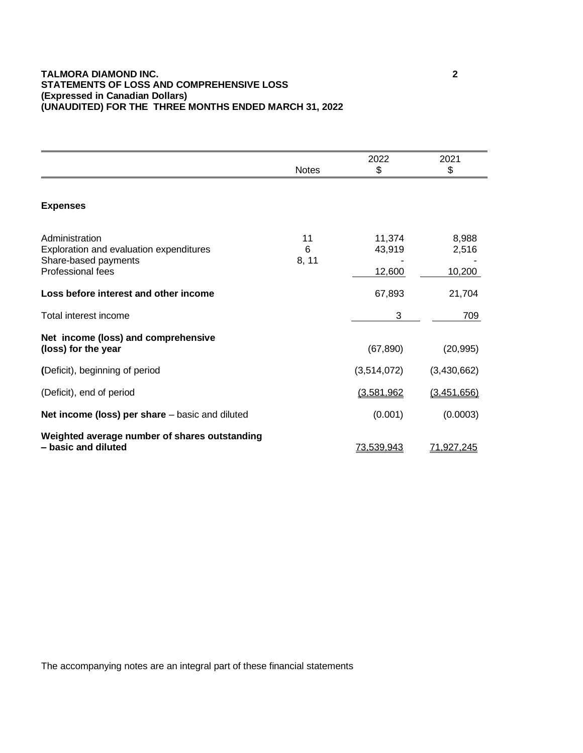## **TALMORA DIAMOND INC. 2 STATEMENTS OF LOSS AND COMPREHENSIVE LOSS (Expressed in Canadian Dollars) (UNAUDITED) FOR THE THREE MONTHS ENDED MARCH 31, 2022**

|                                                                                                               | <b>Notes</b>     | 2022<br>\$                 | 2021<br>\$               |
|---------------------------------------------------------------------------------------------------------------|------------------|----------------------------|--------------------------|
|                                                                                                               |                  |                            |                          |
| <b>Expenses</b>                                                                                               |                  |                            |                          |
| Administration<br>Exploration and evaluation expenditures<br>Share-based payments<br><b>Professional fees</b> | 11<br>6<br>8, 11 | 11,374<br>43,919<br>12,600 | 8,988<br>2,516<br>10,200 |
| Loss before interest and other income                                                                         |                  | 67,893                     | 21,704                   |
| Total interest income                                                                                         |                  | 3                          | 709                      |
| Net income (loss) and comprehensive<br>(loss) for the year                                                    |                  | (67, 890)                  | (20, 995)                |
| (Deficit), beginning of period                                                                                |                  | (3,514,072)                | (3,430,662)              |
| (Deficit), end of period                                                                                      |                  | (3,581,962)                | (3,451,656)              |
| Net income (loss) per share - basic and diluted                                                               |                  | (0.001)                    | (0.0003)                 |
| Weighted average number of shares outstanding<br>- basic and diluted                                          |                  | 73,539,943                 | 71,927,245               |

The accompanying notes are an integral part of these financial statements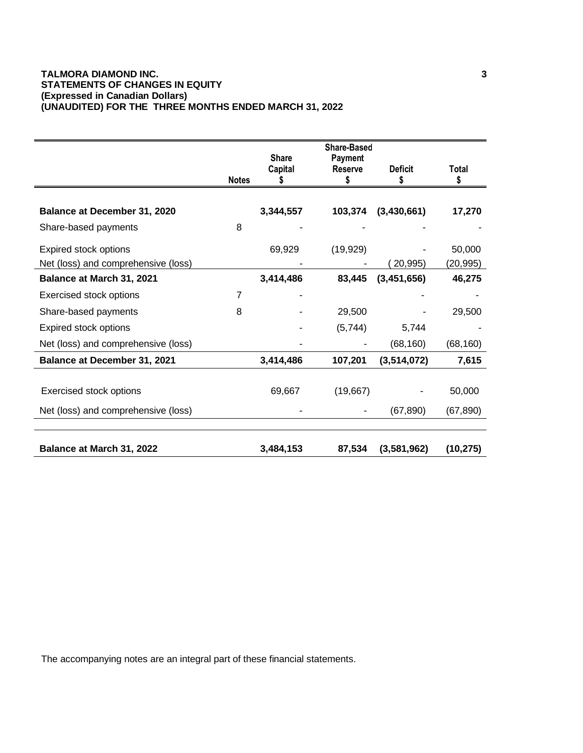## **TALMORA DIAMOND INC. 3 STATEMENTS OF CHANGES IN EQUITY (Expressed in Canadian Dollars) (UNAUDITED) FOR THE THREE MONTHS ENDED MARCH 31, 2022**

|                                     | <b>Notes</b> | <b>Share</b><br>Capital | <b>Share-Based</b><br>Payment<br><b>Reserve</b><br>\$ | <b>Deficit</b><br>\$ | Total<br>\$ |
|-------------------------------------|--------------|-------------------------|-------------------------------------------------------|----------------------|-------------|
|                                     |              |                         |                                                       |                      |             |
| Balance at December 31, 2020        |              | 3,344,557               | 103,374                                               | (3,430,661)          | 17,270      |
| Share-based payments                | 8            |                         |                                                       |                      |             |
| Expired stock options               |              | 69,929                  | (19, 929)                                             |                      | 50,000      |
| Net (loss) and comprehensive (loss) |              |                         |                                                       | 20,995)              | (20, 995)   |
| Balance at March 31, 2021           |              | 3,414,486               | 83,445                                                | (3, 451, 656)        | 46,275      |
| Exercised stock options             | 7            |                         |                                                       |                      |             |
| Share-based payments                | 8            |                         | 29,500                                                |                      | 29,500      |
| Expired stock options               |              |                         | (5,744)                                               | 5,744                |             |
| Net (loss) and comprehensive (loss) |              |                         |                                                       | (68, 160)            | (68, 160)   |
| Balance at December 31, 2021        |              | 3,414,486               | 107,201                                               | (3,514,072)          | 7,615       |
| <b>Exercised stock options</b>      |              | 69,667                  | (19,667)                                              |                      | 50,000      |
| Net (loss) and comprehensive (loss) |              |                         |                                                       | (67, 890)            | (67, 890)   |
| Balance at March 31, 2022           |              | 3,484,153               | 87,534                                                | (3,581,962)          | (10, 275)   |

The accompanying notes are an integral part of these financial statements.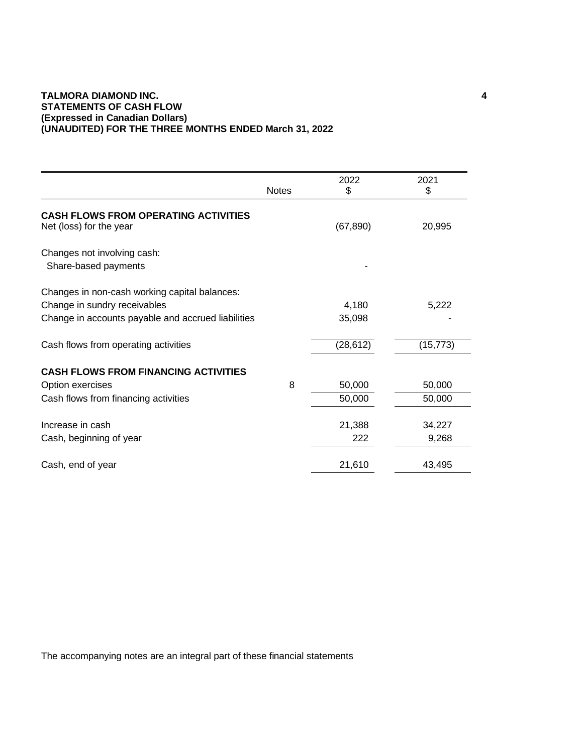## **TALMORA DIAMOND INC. 4 STATEMENTS OF CASH FLOW (Expressed in Canadian Dollars) (UNAUDITED) FOR THE THREE MONTHS ENDED March 31, 2022**

|                                                                        | <b>Notes</b> | 2022<br>\$ | 2021<br>\$ |
|------------------------------------------------------------------------|--------------|------------|------------|
| <b>CASH FLOWS FROM OPERATING ACTIVITIES</b><br>Net (loss) for the year |              | (67, 890)  | 20,995     |
| Changes not involving cash:<br>Share-based payments                    |              |            |            |
| Changes in non-cash working capital balances:                          |              |            |            |
| Change in sundry receivables                                           |              | 4,180      | 5,222      |
| Change in accounts payable and accrued liabilities                     |              | 35,098     |            |
| Cash flows from operating activities                                   |              | (28, 612)  | (15, 773)  |
| <b>CASH FLOWS FROM FINANCING ACTIVITIES</b>                            |              |            |            |
| Option exercises                                                       | 8            | 50,000     | 50,000     |
| Cash flows from financing activities                                   |              | 50,000     | 50,000     |
| Increase in cash                                                       |              | 21,388     | 34,227     |
| Cash, beginning of year                                                |              | 222        | 9,268      |
| Cash, end of year                                                      |              | 21,610     | 43,495     |
|                                                                        |              |            |            |

The accompanying notes are an integral part of these financial statements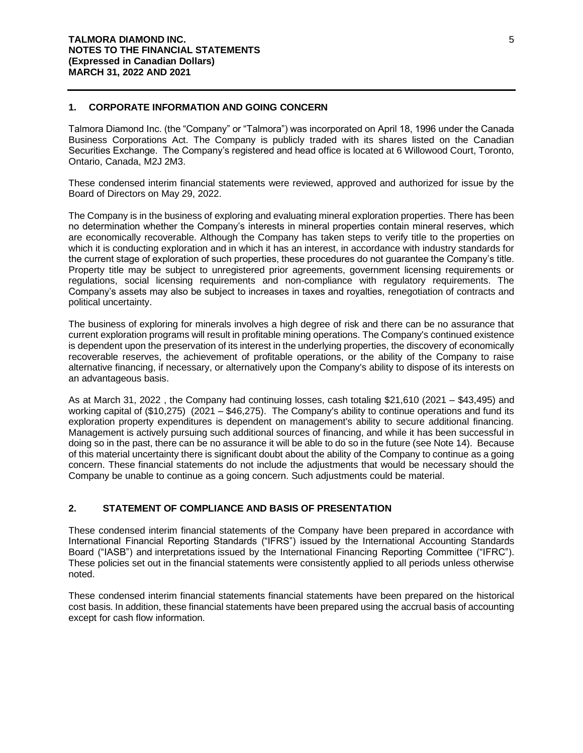## **1. CORPORATE INFORMATION AND GOING CONCERN**

Talmora Diamond Inc. (the "Company" or "Talmora") was incorporated on April 18, 1996 under the Canada Business Corporations Act. The Company is publicly traded with its shares listed on the Canadian Securities Exchange. The Company's registered and head office is located at 6 Willowood Court, Toronto, Ontario, Canada, M2J 2M3.

These condensed interim financial statements were reviewed, approved and authorized for issue by the Board of Directors on May 29, 2022.

The Company is in the business of exploring and evaluating mineral exploration properties. There has been no determination whether the Company's interests in mineral properties contain mineral reserves, which are economically recoverable. Although the Company has taken steps to verify title to the properties on which it is conducting exploration and in which it has an interest, in accordance with industry standards for the current stage of exploration of such properties, these procedures do not guarantee the Company's title. Property title may be subject to unregistered prior agreements, government licensing requirements or regulations, social licensing requirements and non-compliance with regulatory requirements. The Company's assets may also be subject to increases in taxes and royalties, renegotiation of contracts and political uncertainty.

The business of exploring for minerals involves a high degree of risk and there can be no assurance that current exploration programs will result in profitable mining operations. The Company's continued existence is dependent upon the preservation of its interest in the underlying properties, the discovery of economically recoverable reserves, the achievement of profitable operations, or the ability of the Company to raise alternative financing, if necessary, or alternatively upon the Company's ability to dispose of its interests on an advantageous basis.

As at March 31, 2022 , the Company had continuing losses, cash totaling \$21,610 (2021 – \$43,495) and working capital of (\$10,275) (2021 – \$46,275). The Company's ability to continue operations and fund its exploration property expenditures is dependent on management's ability to secure additional financing. Management is actively pursuing such additional sources of financing, and while it has been successful in doing so in the past, there can be no assurance it will be able to do so in the future (see Note 14). Because of this material uncertainty there is significant doubt about the ability of the Company to continue as a going concern. These financial statements do not include the adjustments that would be necessary should the Company be unable to continue as a going concern. Such adjustments could be material.

## **2. STATEMENT OF COMPLIANCE AND BASIS OF PRESENTATION**

These condensed interim financial statements of the Company have been prepared in accordance with International Financial Reporting Standards ("IFRS") issued by the International Accounting Standards Board ("IASB") and interpretations issued by the International Financing Reporting Committee ("IFRC"). These policies set out in the financial statements were consistently applied to all periods unless otherwise noted.

These condensed interim financial statements financial statements have been prepared on the historical cost basis. In addition, these financial statements have been prepared using the accrual basis of accounting except for cash flow information.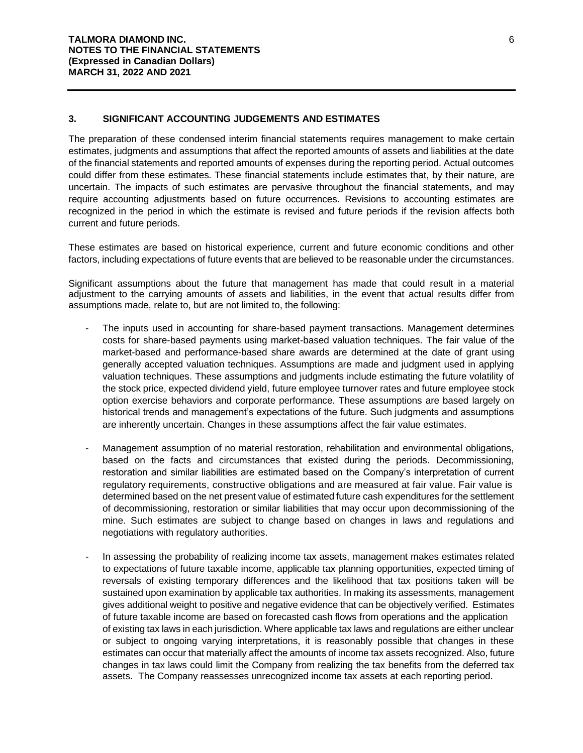## **3. SIGNIFICANT ACCOUNTING JUDGEMENTS AND ESTIMATES**

The preparation of these condensed interim financial statements requires management to make certain estimates, judgments and assumptions that affect the reported amounts of assets and liabilities at the date of the financial statements and reported amounts of expenses during the reporting period. Actual outcomes could differ from these estimates. These financial statements include estimates that, by their nature, are uncertain. The impacts of such estimates are pervasive throughout the financial statements, and may require accounting adjustments based on future occurrences. Revisions to accounting estimates are recognized in the period in which the estimate is revised and future periods if the revision affects both current and future periods.

These estimates are based on historical experience, current and future economic conditions and other factors, including expectations of future events that are believed to be reasonable under the circumstances.

Significant assumptions about the future that management has made that could result in a material adjustment to the carrying amounts of assets and liabilities, in the event that actual results differ from assumptions made, relate to, but are not limited to, the following:

- The inputs used in accounting for share-based payment transactions. Management determines costs for share-based payments using market-based valuation techniques. The fair value of the market-based and performance-based share awards are determined at the date of grant using generally accepted valuation techniques. Assumptions are made and judgment used in applying valuation techniques. These assumptions and judgments include estimating the future volatility of the stock price, expected dividend yield, future employee turnover rates and future employee stock option exercise behaviors and corporate performance. These assumptions are based largely on historical trends and management's expectations of the future. Such judgments and assumptions are inherently uncertain. Changes in these assumptions affect the fair value estimates.
- Management assumption of no material restoration, rehabilitation and environmental obligations, based on the facts and circumstances that existed during the periods. Decommissioning, restoration and similar liabilities are estimated based on the Company's interpretation of current regulatory requirements, constructive obligations and are measured at fair value. Fair value is determined based on the net present value of estimated future cash expenditures for the settlement of decommissioning, restoration or similar liabilities that may occur upon decommissioning of the mine. Such estimates are subject to change based on changes in laws and regulations and negotiations with regulatory authorities.
- In assessing the probability of realizing income tax assets, management makes estimates related to expectations of future taxable income, applicable tax planning opportunities, expected timing of reversals of existing temporary differences and the likelihood that tax positions taken will be sustained upon examination by applicable tax authorities. In making its assessments, management gives additional weight to positive and negative evidence that can be objectively verified. Estimates of future taxable income are based on forecasted cash flows from operations and the application of existing tax laws in each jurisdiction. Where applicable tax laws and regulations are either unclear or subject to ongoing varying interpretations, it is reasonably possible that changes in these estimates can occur that materially affect the amounts of income tax assets recognized. Also, future changes in tax laws could limit the Company from realizing the tax benefits from the deferred tax assets. The Company reassesses unrecognized income tax assets at each reporting period.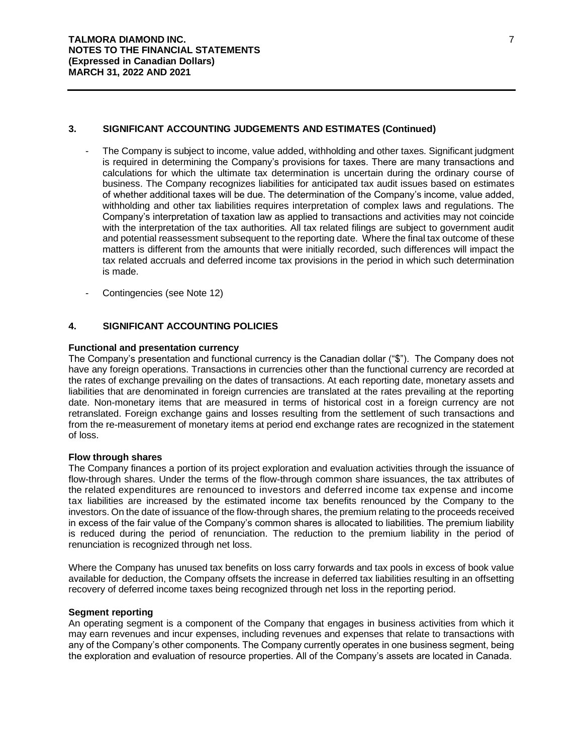#### **3. SIGNIFICANT ACCOUNTING JUDGEMENTS AND ESTIMATES (Continued)**

- The Company is subject to income, value added, withholding and other taxes. Significant judgment is required in determining the Company's provisions for taxes. There are many transactions and calculations for which the ultimate tax determination is uncertain during the ordinary course of business. The Company recognizes liabilities for anticipated tax audit issues based on estimates of whether additional taxes will be due. The determination of the Company's income, value added, withholding and other tax liabilities requires interpretation of complex laws and regulations. The Company's interpretation of taxation law as applied to transactions and activities may not coincide with the interpretation of the tax authorities. All tax related filings are subject to government audit and potential reassessment subsequent to the reporting date. Where the final tax outcome of these matters is different from the amounts that were initially recorded, such differences will impact the tax related accruals and deferred income tax provisions in the period in which such determination is made.
- Contingencies (see Note 12)

## **4. SIGNIFICANT ACCOUNTING POLICIES**

#### **Functional and presentation currency**

The Company's presentation and functional currency is the Canadian dollar ("\$"). The Company does not have any foreign operations. Transactions in currencies other than the functional currency are recorded at the rates of exchange prevailing on the dates of transactions. At each reporting date, monetary assets and liabilities that are denominated in foreign currencies are translated at the rates prevailing at the reporting date. Non-monetary items that are measured in terms of historical cost in a foreign currency are not retranslated. Foreign exchange gains and losses resulting from the settlement of such transactions and from the re-measurement of monetary items at period end exchange rates are recognized in the statement of loss.

#### **Flow through shares**

The Company finances a portion of its project exploration and evaluation activities through the issuance of flow-through shares. Under the terms of the flow-through common share issuances, the tax attributes of the related expenditures are renounced to investors and deferred income tax expense and income tax liabilities are increased by the estimated income tax benefits renounced by the Company to the investors. On the date of issuance of the flow-through shares, the premium relating to the proceeds received in excess of the fair value of the Company's common shares is allocated to liabilities. The premium liability is reduced during the period of renunciation. The reduction to the premium liability in the period of renunciation is recognized through net loss.

Where the Company has unused tax benefits on loss carry forwards and tax pools in excess of book value available for deduction, the Company offsets the increase in deferred tax liabilities resulting in an offsetting recovery of deferred income taxes being recognized through net loss in the reporting period.

#### **Segment reporting**

An operating segment is a component of the Company that engages in business activities from which it may earn revenues and incur expenses, including revenues and expenses that relate to transactions with any of the Company's other components. The Company currently operates in one business segment, being the exploration and evaluation of resource properties. All of the Company's assets are located in Canada.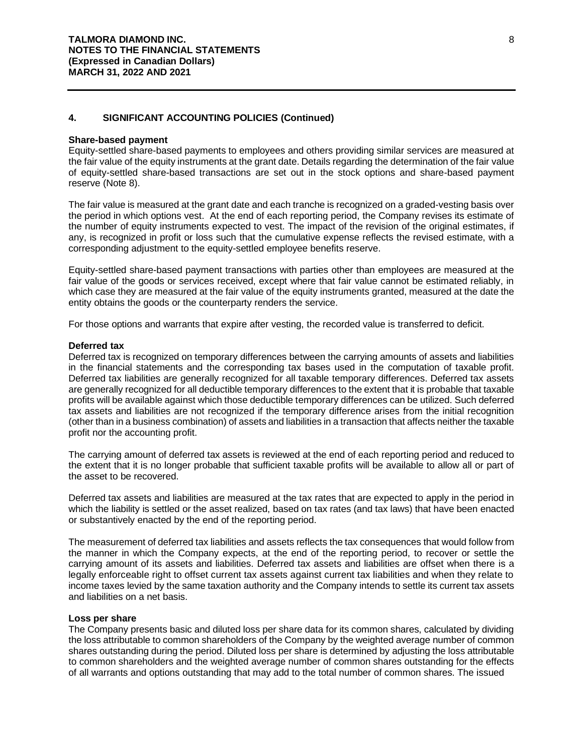#### **Share-based payment**

Equity-settled share-based payments to employees and others providing similar services are measured at the fair value of the equity instruments at the grant date. Details regarding the determination of the fair value of equity-settled share-based transactions are set out in the stock options and share-based payment reserve (Note 8).

The fair value is measured at the grant date and each tranche is recognized on a graded-vesting basis over the period in which options vest. At the end of each reporting period, the Company revises its estimate of the number of equity instruments expected to vest. The impact of the revision of the original estimates, if any, is recognized in profit or loss such that the cumulative expense reflects the revised estimate, with a corresponding adjustment to the equity-settled employee benefits reserve.

Equity-settled share-based payment transactions with parties other than employees are measured at the fair value of the goods or services received, except where that fair value cannot be estimated reliably, in which case they are measured at the fair value of the equity instruments granted, measured at the date the entity obtains the goods or the counterparty renders the service.

For those options and warrants that expire after vesting, the recorded value is transferred to deficit.

#### **Deferred tax**

Deferred tax is recognized on temporary differences between the carrying amounts of assets and liabilities in the financial statements and the corresponding tax bases used in the computation of taxable profit. Deferred tax liabilities are generally recognized for all taxable temporary differences. Deferred tax assets are generally recognized for all deductible temporary differences to the extent that it is probable that taxable profits will be available against which those deductible temporary differences can be utilized. Such deferred tax assets and liabilities are not recognized if the temporary difference arises from the initial recognition (other than in a business combination) of assets and liabilities in a transaction that affects neither the taxable profit nor the accounting profit.

The carrying amount of deferred tax assets is reviewed at the end of each reporting period and reduced to the extent that it is no longer probable that sufficient taxable profits will be available to allow all or part of the asset to be recovered.

Deferred tax assets and liabilities are measured at the tax rates that are expected to apply in the period in which the liability is settled or the asset realized, based on tax rates (and tax laws) that have been enacted or substantively enacted by the end of the reporting period.

The measurement of deferred tax liabilities and assets reflects the tax consequences that would follow from the manner in which the Company expects, at the end of the reporting period, to recover or settle the carrying amount of its assets and liabilities. Deferred tax assets and liabilities are offset when there is a legally enforceable right to offset current tax assets against current tax liabilities and when they relate to income taxes levied by the same taxation authority and the Company intends to settle its current tax assets and liabilities on a net basis.

#### **Loss per share**

The Company presents basic and diluted loss per share data for its common shares, calculated by dividing the loss attributable to common shareholders of the Company by the weighted average number of common shares outstanding during the period. Diluted loss per share is determined by adjusting the loss attributable to common shareholders and the weighted average number of common shares outstanding for the effects of all warrants and options outstanding that may add to the total number of common shares. The issued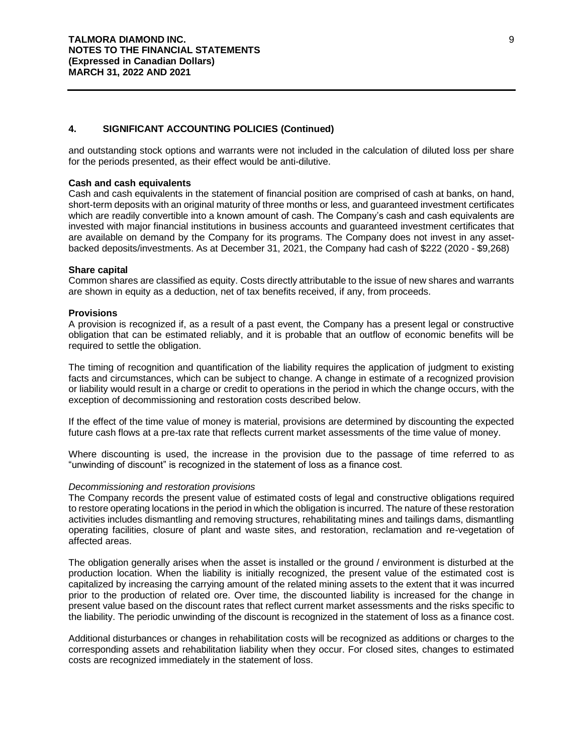and outstanding stock options and warrants were not included in the calculation of diluted loss per share for the periods presented, as their effect would be anti-dilutive.

#### **Cash and cash equivalents**

Cash and cash equivalents in the statement of financial position are comprised of cash at banks, on hand, short-term deposits with an original maturity of three months or less, and guaranteed investment certificates which are readily convertible into a known amount of cash. The Company's cash and cash equivalents are invested with major financial institutions in business accounts and guaranteed investment certificates that are available on demand by the Company for its programs. The Company does not invest in any assetbacked deposits/investments. As at December 31, 2021, the Company had cash of \$222 (2020 - \$9,268)

#### **Share capital**

Common shares are classified as equity. Costs directly attributable to the issue of new shares and warrants are shown in equity as a deduction, net of tax benefits received, if any, from proceeds.

#### **Provisions**

A provision is recognized if, as a result of a past event, the Company has a present legal or constructive obligation that can be estimated reliably, and it is probable that an outflow of economic benefits will be required to settle the obligation.

The timing of recognition and quantification of the liability requires the application of judgment to existing facts and circumstances, which can be subject to change. A change in estimate of a recognized provision or liability would result in a charge or credit to operations in the period in which the change occurs, with the exception of decommissioning and restoration costs described below.

If the effect of the time value of money is material, provisions are determined by discounting the expected future cash flows at a pre-tax rate that reflects current market assessments of the time value of money.

Where discounting is used, the increase in the provision due to the passage of time referred to as "unwinding of discount" is recognized in the statement of loss as a finance cost.

#### *Decommissioning and restoration provisions*

The Company records the present value of estimated costs of legal and constructive obligations required to restore operating locations in the period in which the obligation is incurred. The nature of these restoration activities includes dismantling and removing structures, rehabilitating mines and tailings dams, dismantling operating facilities, closure of plant and waste sites, and restoration, reclamation and re-vegetation of affected areas.

The obligation generally arises when the asset is installed or the ground / environment is disturbed at the production location. When the liability is initially recognized, the present value of the estimated cost is capitalized by increasing the carrying amount of the related mining assets to the extent that it was incurred prior to the production of related ore. Over time, the discounted liability is increased for the change in present value based on the discount rates that reflect current market assessments and the risks specific to the liability. The periodic unwinding of the discount is recognized in the statement of loss as a finance cost.

Additional disturbances or changes in rehabilitation costs will be recognized as additions or charges to the corresponding assets and rehabilitation liability when they occur. For closed sites, changes to estimated costs are recognized immediately in the statement of loss.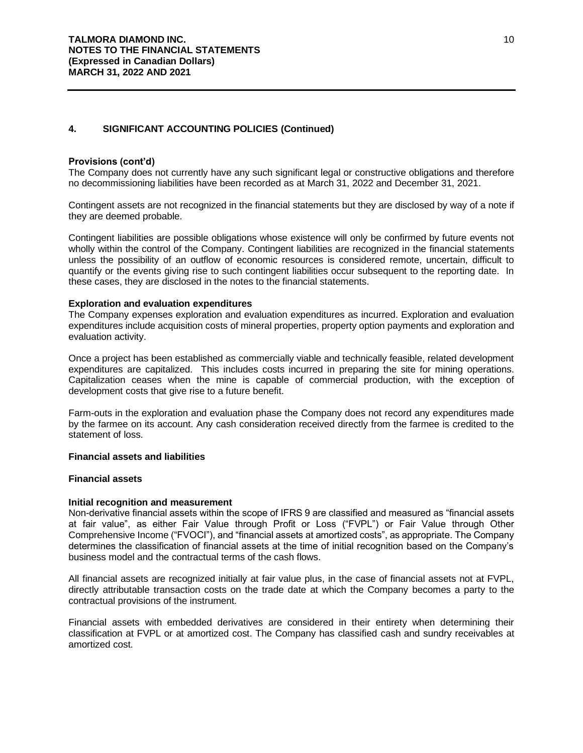#### **Provisions (cont'd)**

The Company does not currently have any such significant legal or constructive obligations and therefore no decommissioning liabilities have been recorded as at March 31, 2022 and December 31, 2021.

Contingent assets are not recognized in the financial statements but they are disclosed by way of a note if they are deemed probable.

Contingent liabilities are possible obligations whose existence will only be confirmed by future events not wholly within the control of the Company. Contingent liabilities are recognized in the financial statements unless the possibility of an outflow of economic resources is considered remote, uncertain, difficult to quantify or the events giving rise to such contingent liabilities occur subsequent to the reporting date. In these cases, they are disclosed in the notes to the financial statements.

#### **Exploration and evaluation expenditures**

The Company expenses exploration and evaluation expenditures as incurred. Exploration and evaluation expenditures include acquisition costs of mineral properties, property option payments and exploration and evaluation activity.

Once a project has been established as commercially viable and technically feasible, related development expenditures are capitalized. This includes costs incurred in preparing the site for mining operations. Capitalization ceases when the mine is capable of commercial production, with the exception of development costs that give rise to a future benefit.

Farm-outs in the exploration and evaluation phase the Company does not record any expenditures made by the farmee on its account. Any cash consideration received directly from the farmee is credited to the statement of loss.

#### **Financial assets and liabilities**

#### **Financial assets**

#### **Initial recognition and measurement**

Non-derivative financial assets within the scope of IFRS 9 are classified and measured as "financial assets at fair value", as either Fair Value through Profit or Loss ("FVPL") or Fair Value through Other Comprehensive Income ("FVOCI"), and "financial assets at amortized costs", as appropriate. The Company determines the classification of financial assets at the time of initial recognition based on the Company's business model and the contractual terms of the cash flows.

All financial assets are recognized initially at fair value plus, in the case of financial assets not at FVPL, directly attributable transaction costs on the trade date at which the Company becomes a party to the contractual provisions of the instrument.

Financial assets with embedded derivatives are considered in their entirety when determining their classification at FVPL or at amortized cost. The Company has classified cash and sundry receivables at amortized cost.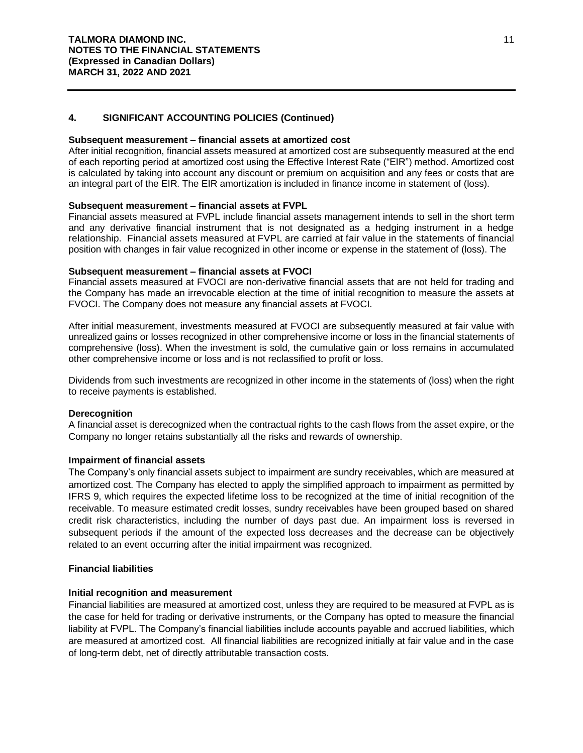#### **Subsequent measurement – financial assets at amortized cost**

After initial recognition, financial assets measured at amortized cost are subsequently measured at the end of each reporting period at amortized cost using the Effective Interest Rate ("EIR") method. Amortized cost is calculated by taking into account any discount or premium on acquisition and any fees or costs that are an integral part of the EIR. The EIR amortization is included in finance income in statement of (loss).

#### **Subsequent measurement – financial assets at FVPL**

Financial assets measured at FVPL include financial assets management intends to sell in the short term and any derivative financial instrument that is not designated as a hedging instrument in a hedge relationship. Financial assets measured at FVPL are carried at fair value in the statements of financial position with changes in fair value recognized in other income or expense in the statement of (loss). The

#### **Subsequent measurement – financial assets at FVOCI**

Financial assets measured at FVOCI are non-derivative financial assets that are not held for trading and the Company has made an irrevocable election at the time of initial recognition to measure the assets at FVOCI. The Company does not measure any financial assets at FVOCI.

After initial measurement, investments measured at FVOCI are subsequently measured at fair value with unrealized gains or losses recognized in other comprehensive income or loss in the financial statements of comprehensive (loss). When the investment is sold, the cumulative gain or loss remains in accumulated other comprehensive income or loss and is not reclassified to profit or loss.

Dividends from such investments are recognized in other income in the statements of (loss) when the right to receive payments is established.

#### **Derecognition**

A financial asset is derecognized when the contractual rights to the cash flows from the asset expire, or the Company no longer retains substantially all the risks and rewards of ownership.

#### **Impairment of financial assets**

The Company's only financial assets subject to impairment are sundry receivables, which are measured at amortized cost. The Company has elected to apply the simplified approach to impairment as permitted by IFRS 9, which requires the expected lifetime loss to be recognized at the time of initial recognition of the receivable. To measure estimated credit losses, sundry receivables have been grouped based on shared credit risk characteristics, including the number of days past due. An impairment loss is reversed in subsequent periods if the amount of the expected loss decreases and the decrease can be objectively related to an event occurring after the initial impairment was recognized.

#### **Financial liabilities**

## **Initial recognition and measurement**

Financial liabilities are measured at amortized cost, unless they are required to be measured at FVPL as is the case for held for trading or derivative instruments, or the Company has opted to measure the financial liability at FVPL. The Company's financial liabilities include accounts payable and accrued liabilities, which are measured at amortized cost. All financial liabilities are recognized initially at fair value and in the case of long-term debt, net of directly attributable transaction costs.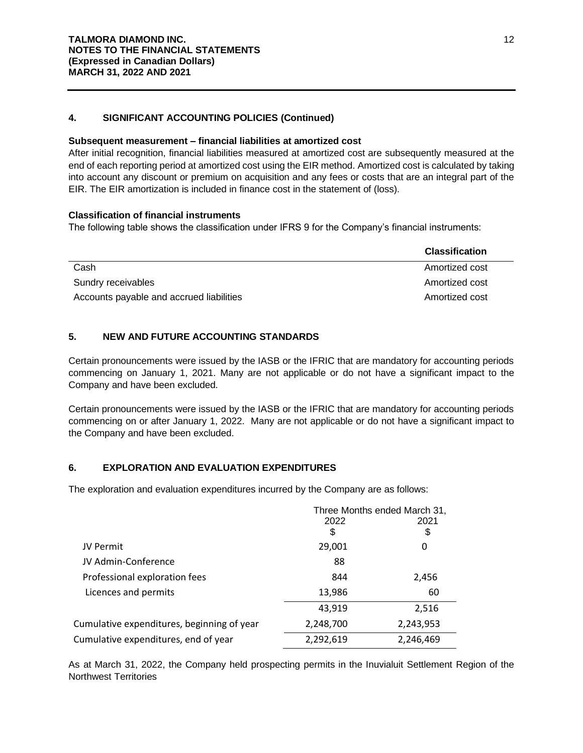## **Subsequent measurement – financial liabilities at amortized cost**

After initial recognition, financial liabilities measured at amortized cost are subsequently measured at the end of each reporting period at amortized cost using the EIR method. Amortized cost is calculated by taking into account any discount or premium on acquisition and any fees or costs that are an integral part of the EIR. The EIR amortization is included in finance cost in the statement of (loss).

## **Classification of financial instruments**

The following table shows the classification under IFRS 9 for the Company's financial instruments:

|                                          | <b>Classification</b> |
|------------------------------------------|-----------------------|
| Cash                                     | Amortized cost        |
| Sundry receivables                       | Amortized cost        |
| Accounts payable and accrued liabilities | Amortized cost        |

## **5. NEW AND FUTURE ACCOUNTING STANDARDS**

Certain pronouncements were issued by the IASB or the IFRIC that are mandatory for accounting periods commencing on January 1, 2021. Many are not applicable or do not have a significant impact to the Company and have been excluded.

Certain pronouncements were issued by the IASB or the IFRIC that are mandatory for accounting periods commencing on or after January 1, 2022. Many are not applicable or do not have a significant impact to the Company and have been excluded.

## **6. EXPLORATION AND EVALUATION EXPENDITURES**

The exploration and evaluation expenditures incurred by the Company are as follows:

|                                            | Three Months ended March 31, |           |
|--------------------------------------------|------------------------------|-----------|
|                                            | 2022                         | 2021      |
|                                            | \$                           | \$        |
| JV Permit                                  | 29,001                       | 0         |
| JV Admin-Conference                        | 88                           |           |
| Professional exploration fees              | 844                          | 2,456     |
| Licences and permits                       | 13,986                       | 60        |
|                                            | 43,919                       | 2,516     |
| Cumulative expenditures, beginning of year | 2,248,700                    | 2,243,953 |
| Cumulative expenditures, end of year       | 2,292,619                    | 2,246,469 |

As at March 31, 2022, the Company held prospecting permits in the Inuvialuit Settlement Region of the Northwest Territories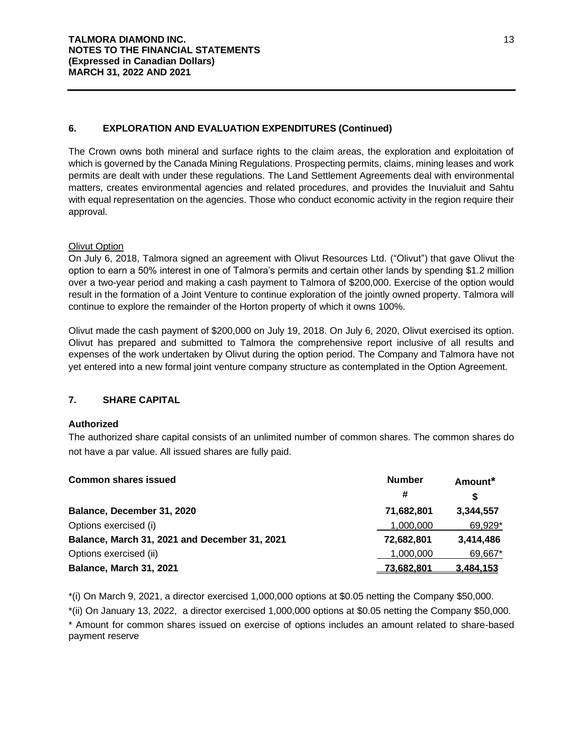## **6. EXPLORATION AND EVALUATION EXPENDITURES (Continued)**

The Crown owns both mineral and surface rights to the claim areas, the exploration and exploitation of which is governed by the Canada Mining Regulations. Prospecting permits, claims, mining leases and work permits are dealt with under these regulations. The Land Settlement Agreements deal with environmental matters, creates environmental agencies and related procedures, and provides the Inuvialuit and Sahtu with equal representation on the agencies. Those who conduct economic activity in the region require their approval.

## Olivut Option

On July 6, 2018, Talmora signed an agreement with Olivut Resources Ltd. ("Olivut") that gave Olivut the option to earn a 50% interest in one of Talmora's permits and certain other lands by spending \$1.2 million over a two-year period and making a cash payment to Talmora of \$200,000. Exercise of the option would result in the formation of a Joint Venture to continue exploration of the jointly owned property. Talmora will continue to explore the remainder of the Horton property of which it owns 100%.

Olivut made the cash payment of \$200,000 on July 19, 2018. On July 6, 2020, Olivut exercised its option. Olivut has prepared and submitted to Talmora the comprehensive report inclusive of all results and expenses of the work undertaken by Olivut during the option period. The Company and Talmora have not yet entered into a new formal joint venture company structure as contemplated in the Option Agreement.

## **7. SHARE CAPITAL**

## **Authorized**

The authorized share capital consists of an unlimited number of common shares. The common shares do not have a par value. All issued shares are fully paid.

| <b>Common shares issued</b>                   | <b>Number</b> | Amount <sup>*</sup> |
|-----------------------------------------------|---------------|---------------------|
|                                               | #             | S                   |
| Balance, December 31, 2020                    | 71,682,801    | 3.344.557           |
| Options exercised (i)                         | 1,000,000     | 69,929*             |
| Balance, March 31, 2021 and December 31, 2021 | 72,682,801    | 3.414.486           |
| Options exercised (ii)                        | 1.000.000     | 69,667*             |
| Balance, March 31, 2021                       | 73.682.801    | 3.484.153           |

\*(i) On March 9, 2021, a director exercised 1,000,000 options at \$0.05 netting the Company \$50,000.

\*(ii) On January 13, 2022, a director exercised 1,000,000 options at \$0.05 netting the Company \$50,000. \* Amount for common shares issued on exercise of options includes an amount related to share-based payment reserve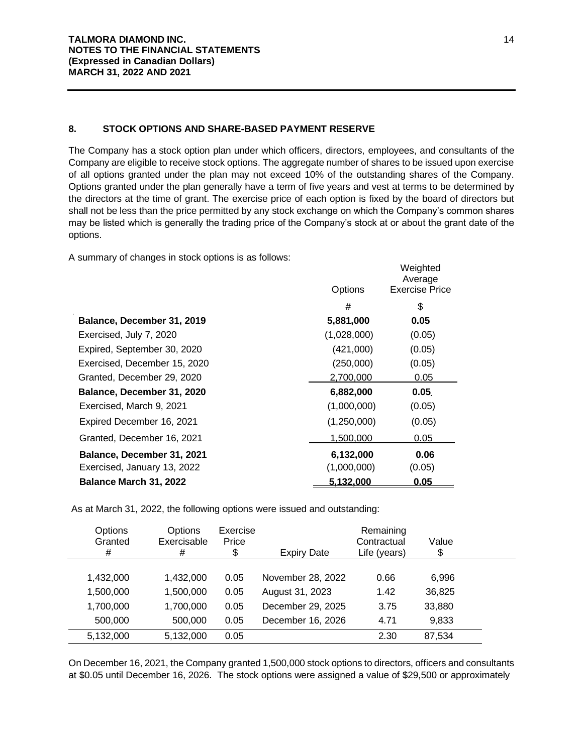## **8. STOCK OPTIONS AND SHARE-BASED PAYMENT RESERVE**

The Company has a stock option plan under which officers, directors, employees, and consultants of the Company are eligible to receive stock options. The aggregate number of shares to be issued upon exercise of all options granted under the plan may not exceed 10% of the outstanding shares of the Company. Options granted under the plan generally have a term of five years and vest at terms to be determined by the directors at the time of grant. The exercise price of each option is fixed by the board of directors but shall not be less than the price permitted by any stock exchange on which the Company's common shares may be listed which is generally the trading price of the Company's stock at or about the grant date of the options.

A summary of changes in stock options is as follows:

|                              | Options     | Weighted<br>Average<br><b>Exercise Price</b> |
|------------------------------|-------------|----------------------------------------------|
|                              | #           | \$                                           |
| Balance, December 31, 2019   | 5,881,000   | 0.05                                         |
| Exercised, July 7, 2020      | (1,028,000) | (0.05)                                       |
| Expired, September 30, 2020  | (421,000)   | (0.05)                                       |
| Exercised, December 15, 2020 | (250,000)   | (0.05)                                       |
| Granted, December 29, 2020   | 2,700,000   | 0.05                                         |
| Balance, December 31, 2020   | 6,882,000   | 0.05                                         |
| Exercised, March 9, 2021     | (1,000,000) | (0.05)                                       |
| Expired December 16, 2021    | (1,250,000) | (0.05)                                       |
| Granted, December 16, 2021   | 1,500,000   | 0.05                                         |
| Balance, December 31, 2021   | 6,132,000   | 0.06                                         |
| Exercised, January 13, 2022  | (1,000,000) | (0.05)                                       |
| Balance March 31, 2022       | 5,132,000   | 0.05                                         |

As at March 31, 2022, the following options were issued and outstanding:

| Options<br>Granted<br># | Options<br>Exercisable<br># | Exercise<br>Price<br>\$ | <b>Expiry Date</b> | Remaining<br>Contractual<br>Life (years) | Value<br>\$ |  |
|-------------------------|-----------------------------|-------------------------|--------------------|------------------------------------------|-------------|--|
| 1,432,000               | 1,432,000                   | 0.05                    | November 28, 2022  | 0.66                                     | 6.996       |  |
| 1,500,000               | 1,500,000                   | 0.05                    | August 31, 2023    | 1.42                                     | 36,825      |  |
| 1,700,000               | 1,700,000                   | 0.05                    | December 29, 2025  | 3.75                                     | 33,880      |  |
| 500,000                 | 500,000                     | 0.05                    | December 16, 2026  | 4.71                                     | 9,833       |  |
| 5,132,000               | 5,132,000                   | 0.05                    |                    | 2.30                                     | 87,534      |  |
|                         |                             |                         |                    |                                          |             |  |

On December 16, 2021, the Company granted 1,500,000 stock options to directors, officers and consultants at \$0.05 until December 16, 2026. The stock options were assigned a value of \$29,500 or approximately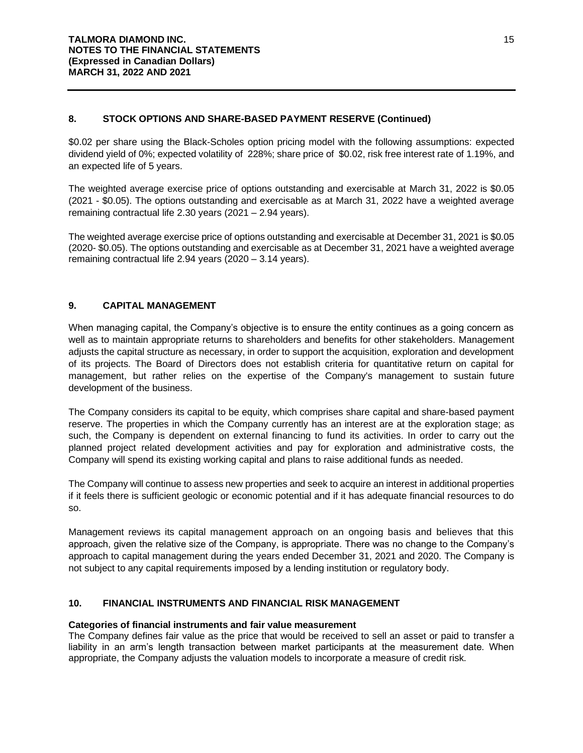## **8. STOCK OPTIONS AND SHARE-BASED PAYMENT RESERVE (Continued)**

\$0.02 per share using the Black-Scholes option pricing model with the following assumptions: expected dividend yield of 0%; expected volatility of 228%; share price of \$0.02, risk free interest rate of 1.19%, and an expected life of 5 years.

The weighted average exercise price of options outstanding and exercisable at March 31, 2022 is \$0.05 (2021 - \$0.05). The options outstanding and exercisable as at March 31, 2022 have a weighted average remaining contractual life 2.30 years (2021 – 2.94 years).

The weighted average exercise price of options outstanding and exercisable at December 31, 2021 is \$0.05 (2020- \$0.05). The options outstanding and exercisable as at December 31, 2021 have a weighted average remaining contractual life 2.94 years (2020 – 3.14 years).

## **9. CAPITAL MANAGEMENT**

When managing capital, the Company's objective is to ensure the entity continues as a going concern as well as to maintain appropriate returns to shareholders and benefits for other stakeholders. Management adjusts the capital structure as necessary, in order to support the acquisition, exploration and development of its projects. The Board of Directors does not establish criteria for quantitative return on capital for management, but rather relies on the expertise of the Company's management to sustain future development of the business.

The Company considers its capital to be equity, which comprises share capital and share-based payment reserve. The properties in which the Company currently has an interest are at the exploration stage; as such, the Company is dependent on external financing to fund its activities. In order to carry out the planned project related development activities and pay for exploration and administrative costs, the Company will spend its existing working capital and plans to raise additional funds as needed.

The Company will continue to assess new properties and seek to acquire an interest in additional properties if it feels there is sufficient geologic or economic potential and if it has adequate financial resources to do so.

Management reviews its capital management approach on an ongoing basis and believes that this approach, given the relative size of the Company, is appropriate. There was no change to the Company's approach to capital management during the years ended December 31, 2021 and 2020. The Company is not subject to any capital requirements imposed by a lending institution or regulatory body.

## **10. FINANCIAL INSTRUMENTS AND FINANCIAL RISK MANAGEMENT**

## **Categories of financial instruments and fair value measurement**

The Company defines fair value as the price that would be received to sell an asset or paid to transfer a liability in an arm's length transaction between market participants at the measurement date. When appropriate, the Company adjusts the valuation models to incorporate a measure of credit risk.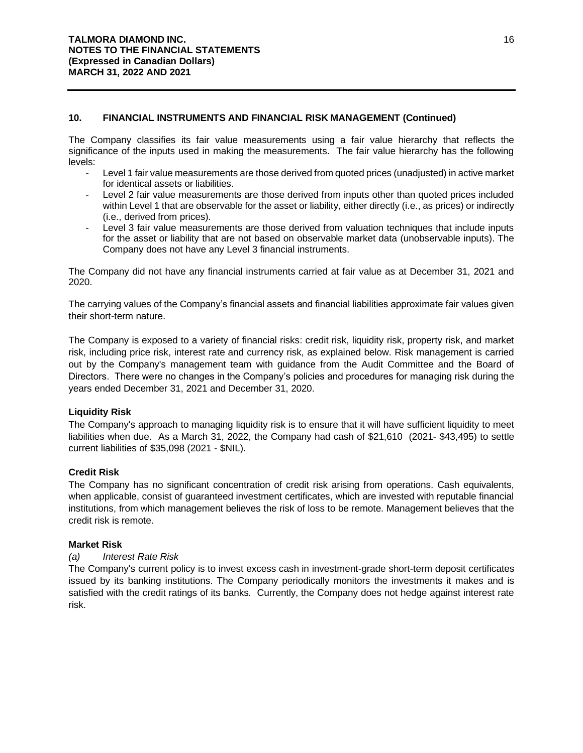## **10. FINANCIAL INSTRUMENTS AND FINANCIAL RISK MANAGEMENT (Continued)**

The Company classifies its fair value measurements using a fair value hierarchy that reflects the significance of the inputs used in making the measurements. The fair value hierarchy has the following levels:

- Level 1 fair value measurements are those derived from quoted prices (unadjusted) in active market for identical assets or liabilities.
- Level 2 fair value measurements are those derived from inputs other than quoted prices included within Level 1 that are observable for the asset or liability, either directly (i.e., as prices) or indirectly (i.e., derived from prices).
- Level 3 fair value measurements are those derived from valuation techniques that include inputs for the asset or liability that are not based on observable market data (unobservable inputs). The Company does not have any Level 3 financial instruments.

The Company did not have any financial instruments carried at fair value as at December 31, 2021 and 2020.

The carrying values of the Company's financial assets and financial liabilities approximate fair values given their short-term nature.

The Company is exposed to a variety of financial risks: credit risk, liquidity risk, property risk, and market risk, including price risk, interest rate and currency risk, as explained below. Risk management is carried out by the Company's management team with guidance from the Audit Committee and the Board of Directors. There were no changes in the Company's policies and procedures for managing risk during the years ended December 31, 2021 and December 31, 2020.

## **Liquidity Risk**

The Company's approach to managing liquidity risk is to ensure that it will have sufficient liquidity to meet liabilities when due. As a March 31, 2022, the Company had cash of \$21,610 (2021- \$43,495) to settle current liabilities of \$35,098 (2021 - \$NIL).

## **Credit Risk**

The Company has no significant concentration of credit risk arising from operations. Cash equivalents, when applicable, consist of guaranteed investment certificates, which are invested with reputable financial institutions, from which management believes the risk of loss to be remote. Management believes that the credit risk is remote.

## **Market Risk**

## *(a) Interest Rate Risk*

The Company's current policy is to invest excess cash in investment-grade short-term deposit certificates issued by its banking institutions. The Company periodically monitors the investments it makes and is satisfied with the credit ratings of its banks. Currently, the Company does not hedge against interest rate risk.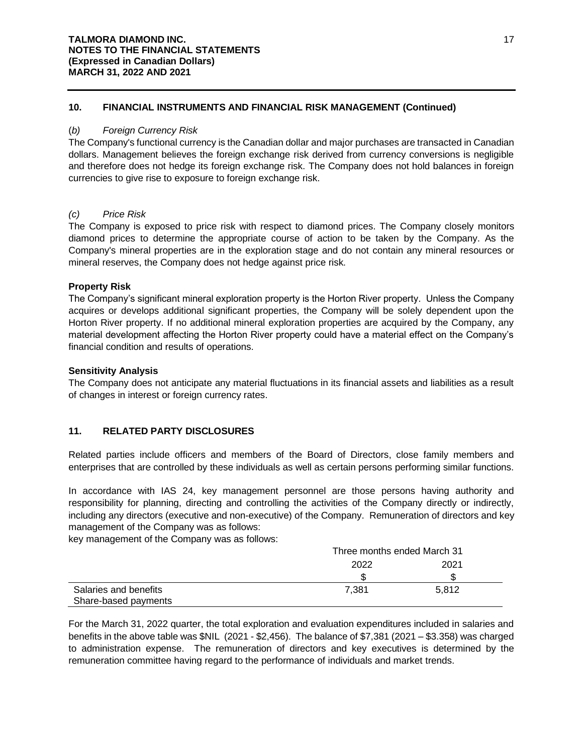## **10. FINANCIAL INSTRUMENTS AND FINANCIAL RISK MANAGEMENT (Continued)**

## (*b) Foreign Currency Risk*

The Company's functional currency is the Canadian dollar and major purchases are transacted in Canadian dollars. Management believes the foreign exchange risk derived from currency conversions is negligible and therefore does not hedge its foreign exchange risk. The Company does not hold balances in foreign currencies to give rise to exposure to foreign exchange risk.

## *(c) Price Risk*

The Company is exposed to price risk with respect to diamond prices. The Company closely monitors diamond prices to determine the appropriate course of action to be taken by the Company. As the Company's mineral properties are in the exploration stage and do not contain any mineral resources or mineral reserves, the Company does not hedge against price risk.

## **Property Risk**

The Company's significant mineral exploration property is the Horton River property. Unless the Company acquires or develops additional significant properties, the Company will be solely dependent upon the Horton River property. If no additional mineral exploration properties are acquired by the Company, any material development affecting the Horton River property could have a material effect on the Company's financial condition and results of operations.

## **Sensitivity Analysis**

The Company does not anticipate any material fluctuations in its financial assets and liabilities as a result of changes in interest or foreign currency rates.

## **11. RELATED PARTY DISCLOSURES**

Related parties include officers and members of the Board of Directors, close family members and enterprises that are controlled by these individuals as well as certain persons performing similar functions.

In accordance with IAS 24, key management personnel are those persons having authority and responsibility for planning, directing and controlling the activities of the Company directly or indirectly, including any directors (executive and non-executive) of the Company. Remuneration of directors and key management of the Company was as follows:

key management of the Company was as follows:

|                                               | Three months ended March 31 |       |  |
|-----------------------------------------------|-----------------------------|-------|--|
|                                               | 2022                        | 2021  |  |
|                                               | ß.                          |       |  |
| Salaries and benefits<br>Share-based payments | 7.381                       | 5.812 |  |

For the March 31, 2022 quarter, the total exploration and evaluation expenditures included in salaries and benefits in the above table was \$NIL (2021 - \$2,456). The balance of \$7,381 (2021 – \$3.358) was charged to administration expense. The remuneration of directors and key executives is determined by the remuneration committee having regard to the performance of individuals and market trends.